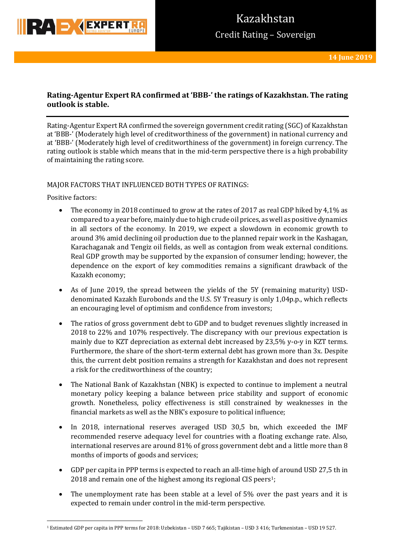

## **Rating-Agentur Expert RA confirmed at 'BBB-' the ratings of Kazakhstan. The rating outlook is stable.**

Rating-Agentur Expert RA confirmed the sovereign government credit rating (SGC) of Kazakhstan at 'BBB-' (Moderately high level of creditworthiness of the government) in national currency and at 'BBB-' (Moderately high level of creditworthiness of the government) in foreign currency. The rating outlook is stable which means that in the mid-term perspective there is a high probability of maintaining the rating score.

### MAJOR FACTORS THAT INFLUENCED BOTH TYPES OF RATINGS:

Positive factors:

**.** 

- The economy in 2018 continued to grow at the rates of 2017 as real GDP hiked by 4,1% as compared to a year before, mainly due to high crude oil prices, as well as positive dynamics in all sectors of the economy. In 2019, we expect a slowdown in economic growth to around 3% amid declining oil production due to the planned repair work in the Kashagan, Karachaganak and Tengiz oil fields, as well as contagion from weak external conditions. Real GDP growth may be supported by the expansion of consumer lending; however, the dependence on the export of key commodities remains a significant drawback of the Kazakh economy;
- As of June 2019, the spread between the yields of the 5Y (remaining maturity) USDdenominated Kazakh Eurobonds and the U.S. 5Y Treasury is only 1,04p.p., which reflects an encouraging level of optimism and confidence from investors;
- The ratios of gross government debt to GDP and to budget revenues slightly increased in 2018 to 22% and 107% respectively. The discrepancy with our previous expectation is mainly due to KZT depreciation as external debt increased by 23,5% y-o-y in KZT terms. Furthermore, the share of the short-term external debt has grown more than 3x. Despite this, the current debt position remains a strength for Kazakhstan and does not represent a risk for the creditworthiness of the country;
- The National Bank of Kazakhstan (NBK) is expected to continue to implement a neutral monetary policy keeping a balance between price stability and support of economic growth. Nonetheless, policy effectiveness is still constrained by weaknesses in the financial markets as well as the NBK's exposure to political influence;
- In 2018, international reserves averaged USD 30,5 bn, which exceeded the IMF recommended reserve adequacy level for countries with a floating exchange rate. Also, international reserves are around 81% of gross government debt and a little more than 8 months of imports of goods and services;
- GDP per capita in PPP terms is expected to reach an all-time high of around USD 27,5 th in 2018 and remain one of the highest among its regional CIS peers<sup>1</sup>;
- The unemployment rate has been stable at a level of 5% over the past years and it is expected to remain under control in the mid-term perspective.

<sup>1</sup> Estimated GDP per capita in PPP terms for 2018: Uzbekistan – USD 7 665; Tajikistan – USD 3 416; Turkmenistan – USD 19 527.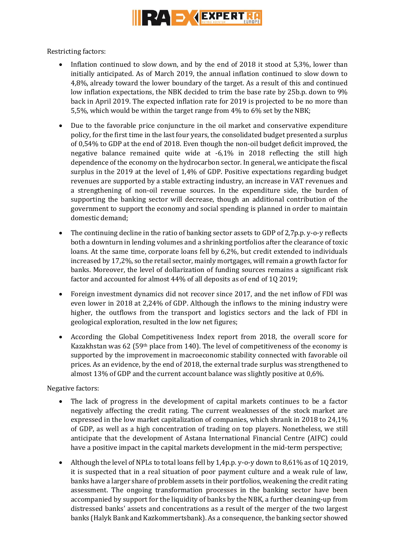

Restricting factors:

- Inflation continued to slow down, and by the end of 2018 it stood at 5,3%, lower than initially anticipated. As of March 2019, the annual inflation continued to slow down to 4,8%, already toward the lower boundary of the target. As a result of this and continued low inflation expectations, the NBK decided to trim the base rate by 25b.p. down to 9% back in April 2019. The expected inflation rate for 2019 is projected to be no more than 5,5%, which would be within the target range from 4% to 6% set by the NBK;
- Due to the favorable price conjuncture in the oil market and conservative expenditure policy, for the first time in the last four years, the consolidated budget presented a surplus of 0,54% to GDP at the end of 2018. Even though the non-oil budget deficit improved, the negative balance remained quite wide at -6,1% in 2018 reflecting the still high dependence of the economy on the hydrocarbon sector. In general, we anticipate the fiscal surplus in the 2019 at the level of 1,4% of GDP. Positive expectations regarding budget revenues are supported by a stable extracting industry, an increase in VAT revenues and a strengthening of non-oil revenue sources. In the expenditure side, the burden of supporting the banking sector will decrease, though an additional contribution of the government to support the economy and social spending is planned in order to maintain domestic demand;
- The continuing decline in the ratio of banking sector assets to GDP of 2,7p.p. y-o-y reflects both a downturn in lending volumes and a shrinking portfolios after the clearance of toxic loans. At the same time, corporate loans fell by 6,2%, but credit extended to individuals increased by 17,2%, so the retail sector, mainly mortgages, will remain a growth factor for banks. Moreover, the level of dollarization of funding sources remains a significant risk factor and accounted for almost 44% of all deposits as of end of 1Q 2019;
- Foreign investment dynamics did not recover since 2017, and the net inflow of FDI was even lower in 2018 at 2,24% of GDP. Although the inflows to the mining industry were higher, the outflows from the transport and logistics sectors and the lack of FDI in geological exploration, resulted in the low net figures;
- According the Global Competitiveness Index report from 2018, the overall score for Kazakhstan was 62 (59th place from 140). The level of competitiveness of the economy is supported by the improvement in macroeconomic stability connected with favorable oil prices. As an evidence, by the end of 2018, the external trade surplus was strengthened to almost 13% of GDP and the current account balance was slightly positive at 0,6%.

Negative factors:

- The lack of progress in the development of capital markets continues to be a factor negatively affecting the credit rating. The current weaknesses of the stock market are expressed in the low market capitalization of companies, which shrank in 2018 to 24,1% of GDP, as well as a high concentration of trading on top players. Nonetheless, we still anticipate that the development of Astana International Financial Centre (AIFC) could have a positive impact in the capital markets development in the mid-term perspective;
- Although the level of NPLs to total loans fell by 1,4p.p. y-o-y down to 8,61% as of 1Q 2019, it is suspected that in a real situation of poor payment culture and a weak rule of law, banks have a larger share of problem assets in their portfolios, weakening the credit rating assessment. The ongoing transformation processes in the banking sector have been accompanied by support for the liquidity of banks by the NBK, a further cleaning-up from distressed banks' assets and concentrations as a result of the merger of the two largest banks (Halyk Bank and Kazkommertsbank). As a consequence, the banking sector showed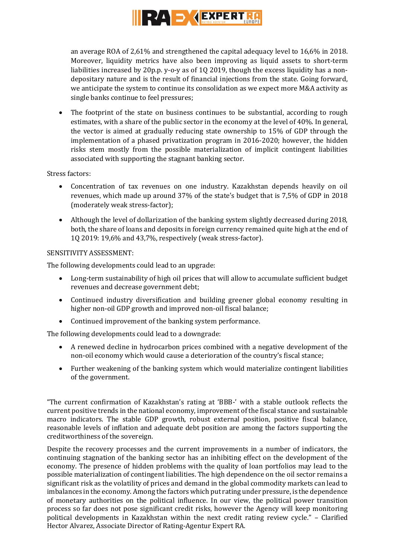

an average ROA of 2,61% and strengthened the capital adequacy level to 16,6% in 2018. Moreover, liquidity metrics have also been improving as liquid assets to short-term liabilities increased by 20p.p. y-o-y as of 10 2019, though the excess liquidity has a nondepositary nature and is the result of financial injections from the state. Going forward, we anticipate the system to continue its consolidation as we expect more M&A activity as single banks continue to feel pressures;

• The footprint of the state on business continues to be substantial, according to rough estimates, with a share of the public sector in the economy at the level of 40%. In general, the vector is aimed at gradually reducing state ownership to 15% of GDP through the implementation of a phased privatization program in 2016-2020; however, the hidden risks stem mostly from the possible materialization of implicit contingent liabilities associated with supporting the stagnant banking sector.

### Stress factors:

- Concentration of tax revenues on one industry. Kazakhstan depends heavily on oil revenues, which made up around 37% of the state's budget that is 7,5% of GDP in 2018 (moderately weak stress-factor);
- Although the level of dollarization of the banking system slightly decreased during 2018, both, the share of loans and deposits in foreign currency remained quite high at the end of 1Q 2019: 19,6% and 43,7%, respectively (weak stress-factor).

### SENSITIVITY ASSESSMENT:

The following developments could lead to an upgrade:

- Long-term sustainability of high oil prices that will allow to accumulate sufficient budget revenues and decrease government debt;
- Continued industry diversification and building greener global economy resulting in higher non-oil GDP growth and improved non-oil fiscal balance;
- Continued improvement of the banking system performance.

The following developments could lead to a downgrade:

- A renewed decline in hydrocarbon prices combined with a negative development of the non-oil economy which would cause a deterioration of the country's fiscal stance;
- Further weakening of the banking system which would materialize contingent liabilities of the government.

"The current confirmation of Kazakhstan's rating at 'BBB-' with a stable outlook reflects the current positive trends in the national economy, improvement of the fiscal stance and sustainable macro indicators. The stable GDP growth, robust external position, positive fiscal balance, reasonable levels of inflation and adequate debt position are among the factors supporting the creditworthiness of the sovereign.

Despite the recovery processes and the current improvements in a number of indicators, the continuing stagnation of the banking sector has an inhibiting effect on the development of the economy. The presence of hidden problems with the quality of loan portfolios may lead to the possible materialization of contingent liabilities. The high dependence on the oil sector remains a significant risk as the volatility of prices and demand in the global commodity markets can lead to imbalances in the economy. Among the factors which put rating under pressure, is the dependence of monetary authorities on the political influence. In our view, the political power transition process so far does not pose significant credit risks, however the Agency will keep monitoring political developments in Kazakhstan within the next credit rating review cycle." – Clarified Hector Alvarez, Associate Director of Rating-Agentur Expert RA.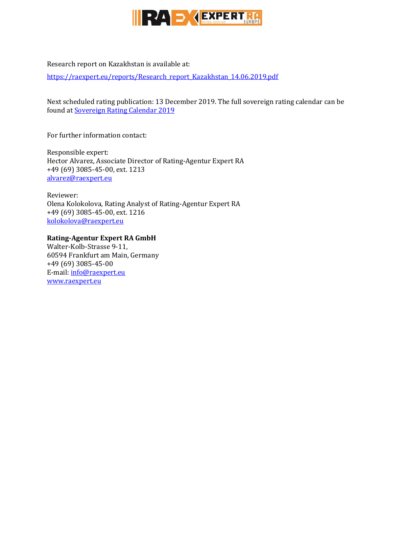

## Research report on Kazakhstan is available at:

[https://raexpert.eu/reports/Research\\_report\\_Kazakhstan\\_14.06.2019.pdf](https://raexpert.eu/reports/Research_report_Kazakhstan_14.06.2019.pdf)

Next scheduled rating publication: 13 December 2019. The full sovereign rating calendar can be found at [Sovereign Rating Calendar 2019](https://raexpert.eu/sovereign/#conf-tab-5)

For further information contact:

Responsible expert: Hector Alvarez, Associate Director of Rating-Agentur Expert RA +49 (69) 3085-45-00, ext. 1213 [alvarez@raexpert.eu](mailto:alvarez@raexpert.eu)

Reviewer: Olena Kolokolova, Rating Analyst of Rating-Agentur Expert RA +49 (69) 3085-45-00, ext. 1216 [kolokolova@raexpert.eu](mailto:kolokolova@raexpert.eu)

### **Rating-Agentur Expert RA GmbH**

Walter-Kolb-Strasse 9-11, 60594 Frankfurt am Main, Germany +49 (69) 3085-45-00 E-mail[: info@raexpert.eu](mailto:info@raexpert.eu) [www.raexpert.eu](http://raexpert.eu/)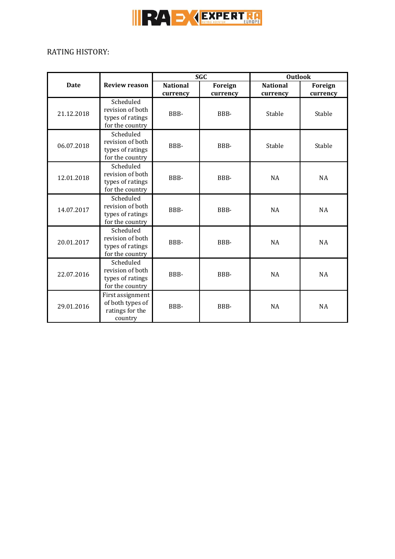

# RATING HISTORY:

|             |                                                                      | <b>SGC</b>                  |                     | <b>Outlook</b>              |                     |
|-------------|----------------------------------------------------------------------|-----------------------------|---------------------|-----------------------------|---------------------|
| <b>Date</b> | <b>Review reason</b>                                                 | <b>National</b><br>currency | Foreign<br>currency | <b>National</b><br>currency | Foreign<br>currency |
| 21.12.2018  | Scheduled<br>revision of both<br>types of ratings<br>for the country | BBB-                        | BBB-                | Stable                      | Stable              |
| 06.07.2018  | Scheduled<br>revision of both<br>types of ratings<br>for the country | BBB-                        | BBB-                | Stable                      | Stable              |
| 12.01.2018  | Scheduled<br>revision of both<br>types of ratings<br>for the country | BBB-                        | BBB-                | <b>NA</b>                   | <b>NA</b>           |
| 14.07.2017  | Scheduled<br>revision of both<br>types of ratings<br>for the country | BBB-                        | BBB-                | <b>NA</b>                   | <b>NA</b>           |
| 20.01.2017  | Scheduled<br>revision of both<br>types of ratings<br>for the country | BBB-                        | BBB-                | <b>NA</b>                   | <b>NA</b>           |
| 22.07.2016  | Scheduled<br>revision of both<br>types of ratings<br>for the country | BBB-                        | BBB-                | NA                          | <b>NA</b>           |
| 29.01.2016  | First assignment<br>of both types of<br>ratings for the<br>country   | BBB-                        | BBB-                | NA                          | <b>NA</b>           |